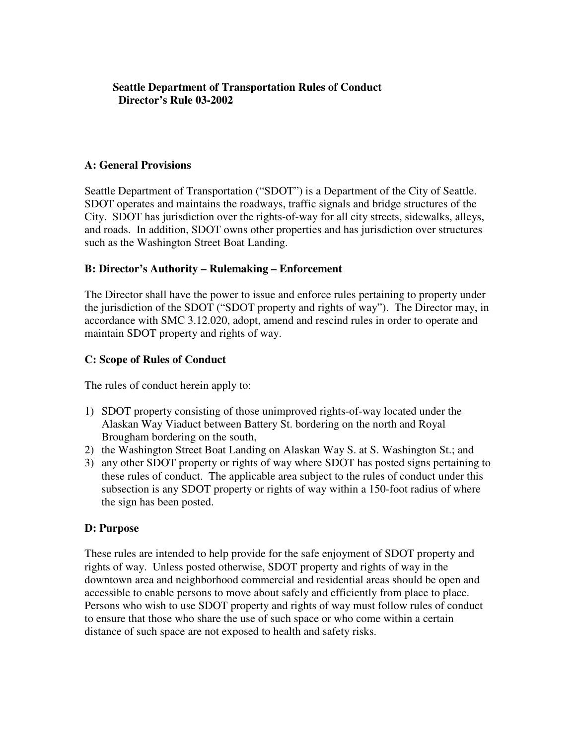# **Seattle Department of Transportation Rules of Conduct Director's Rule 03-2002**

# **A: General Provisions**

Seattle Department of Transportation ("SDOT") is a Department of the City of Seattle. SDOT operates and maintains the roadways, traffic signals and bridge structures of the City. SDOT has jurisdiction over the rights-of-way for all city streets, sidewalks, alleys, and roads. In addition, SDOT owns other properties and has jurisdiction over structures such as the Washington Street Boat Landing.

# **B: Director's Authority – Rulemaking – Enforcement**

The Director shall have the power to issue and enforce rules pertaining to property under the jurisdiction of the SDOT ("SDOT property and rights of way"). The Director may, in accordance with SMC 3.12.020, adopt, amend and rescind rules in order to operate and maintain SDOT property and rights of way.

# **C: Scope of Rules of Conduct**

The rules of conduct herein apply to:

- 1) SDOT property consisting of those unimproved rights-of-way located under the Alaskan Way Viaduct between Battery St. bordering on the north and Royal Brougham bordering on the south,
- 2) the Washington Street Boat Landing on Alaskan Way S. at S. Washington St.; and
- 3) any other SDOT property or rights of way where SDOT has posted signs pertaining to these rules of conduct. The applicable area subject to the rules of conduct under this subsection is any SDOT property or rights of way within a 150-foot radius of where the sign has been posted.

### **D: Purpose**

These rules are intended to help provide for the safe enjoyment of SDOT property and rights of way. Unless posted otherwise, SDOT property and rights of way in the downtown area and neighborhood commercial and residential areas should be open and accessible to enable persons to move about safely and efficiently from place to place. Persons who wish to use SDOT property and rights of way must follow rules of conduct to ensure that those who share the use of such space or who come within a certain distance of such space are not exposed to health and safety risks.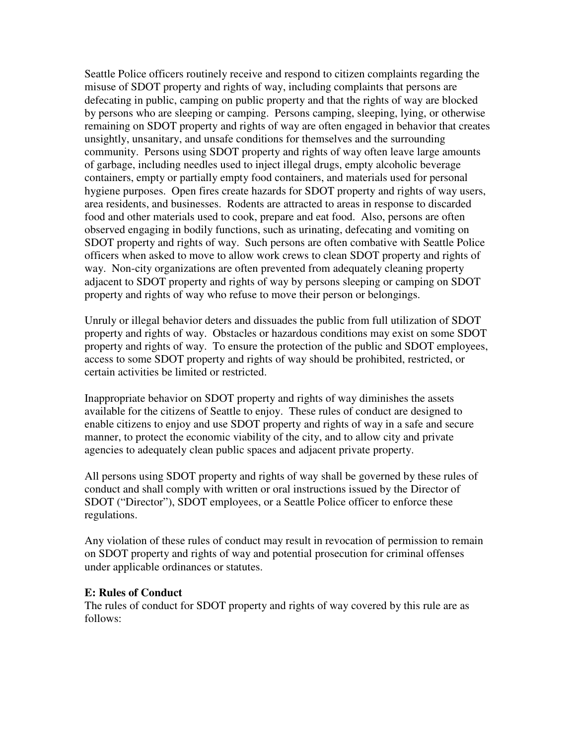Seattle Police officers routinely receive and respond to citizen complaints regarding the misuse of SDOT property and rights of way, including complaints that persons are defecating in public, camping on public property and that the rights of way are blocked by persons who are sleeping or camping. Persons camping, sleeping, lying, or otherwise remaining on SDOT property and rights of way are often engaged in behavior that creates unsightly, unsanitary, and unsafe conditions for themselves and the surrounding community. Persons using SDOT property and rights of way often leave large amounts of garbage, including needles used to inject illegal drugs, empty alcoholic beverage containers, empty or partially empty food containers, and materials used for personal hygiene purposes. Open fires create hazards for SDOT property and rights of way users, area residents, and businesses. Rodents are attracted to areas in response to discarded food and other materials used to cook, prepare and eat food. Also, persons are often observed engaging in bodily functions, such as urinating, defecating and vomiting on SDOT property and rights of way. Such persons are often combative with Seattle Police officers when asked to move to allow work crews to clean SDOT property and rights of way. Non-city organizations are often prevented from adequately cleaning property adjacent to SDOT property and rights of way by persons sleeping or camping on SDOT property and rights of way who refuse to move their person or belongings.

Unruly or illegal behavior deters and dissuades the public from full utilization of SDOT property and rights of way. Obstacles or hazardous conditions may exist on some SDOT property and rights of way. To ensure the protection of the public and SDOT employees, access to some SDOT property and rights of way should be prohibited, restricted, or certain activities be limited or restricted.

Inappropriate behavior on SDOT property and rights of way diminishes the assets available for the citizens of Seattle to enjoy. These rules of conduct are designed to enable citizens to enjoy and use SDOT property and rights of way in a safe and secure manner, to protect the economic viability of the city, and to allow city and private agencies to adequately clean public spaces and adjacent private property.

All persons using SDOT property and rights of way shall be governed by these rules of conduct and shall comply with written or oral instructions issued by the Director of SDOT ("Director"), SDOT employees, or a Seattle Police officer to enforce these regulations.

Any violation of these rules of conduct may result in revocation of permission to remain on SDOT property and rights of way and potential prosecution for criminal offenses under applicable ordinances or statutes.

#### **E: Rules of Conduct**

The rules of conduct for SDOT property and rights of way covered by this rule are as follows: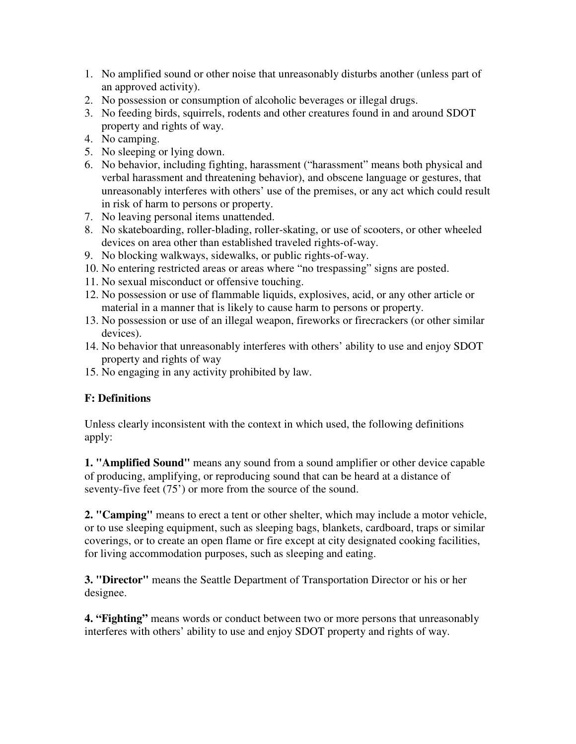- 1. No amplified sound or other noise that unreasonably disturbs another (unless part of an approved activity).
- 2. No possession or consumption of alcoholic beverages or illegal drugs.
- 3. No feeding birds, squirrels, rodents and other creatures found in and around SDOT property and rights of way.
- 4. No camping.
- 5. No sleeping or lying down.
- 6. No behavior, including fighting, harassment ("harassment" means both physical and verbal harassment and threatening behavior), and obscene language or gestures, that unreasonably interferes with others' use of the premises, or any act which could result in risk of harm to persons or property.
- 7. No leaving personal items unattended.
- 8. No skateboarding, roller-blading, roller-skating, or use of scooters, or other wheeled devices on area other than established traveled rights-of-way.
- 9. No blocking walkways, sidewalks, or public rights-of-way.
- 10. No entering restricted areas or areas where "no trespassing" signs are posted.
- 11. No sexual misconduct or offensive touching.
- 12. No possession or use of flammable liquids, explosives, acid, or any other article or material in a manner that is likely to cause harm to persons or property.
- 13. No possession or use of an illegal weapon, fireworks or firecrackers (or other similar devices).
- 14. No behavior that unreasonably interferes with others' ability to use and enjoy SDOT property and rights of way
- 15. No engaging in any activity prohibited by law.

# **F: Definitions**

Unless clearly inconsistent with the context in which used, the following definitions apply:

**1. "Amplified Sound"** means any sound from a sound amplifier or other device capable of producing, amplifying, or reproducing sound that can be heard at a distance of seventy-five feet (75<sup>'</sup>) or more from the source of the sound.

**2. "Camping"** means to erect a tent or other shelter, which may include a motor vehicle, or to use sleeping equipment, such as sleeping bags, blankets, cardboard, traps or similar coverings, or to create an open flame or fire except at city designated cooking facilities, for living accommodation purposes, such as sleeping and eating.

**3. "Director"** means the Seattle Department of Transportation Director or his or her designee.

**4. "Fighting"** means words or conduct between two or more persons that unreasonably interferes with others' ability to use and enjoy SDOT property and rights of way.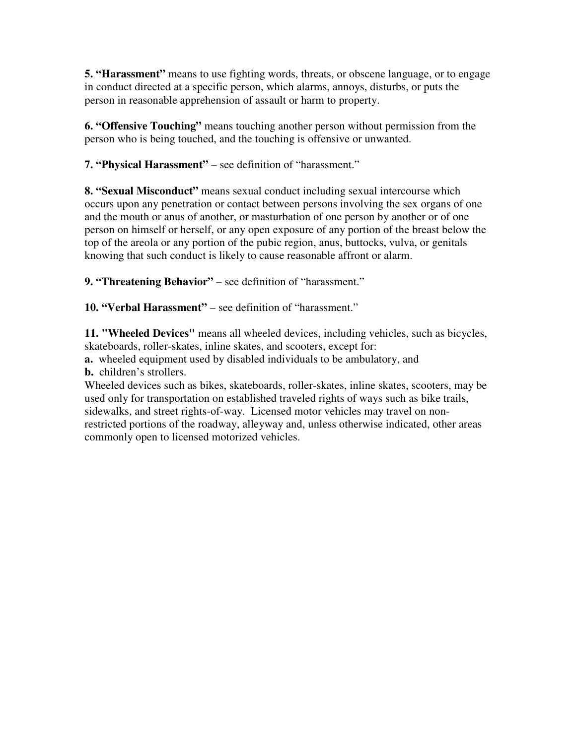**5. "Harassment"** means to use fighting words, threats, or obscene language, or to engage in conduct directed at a specific person, which alarms, annoys, disturbs, or puts the person in reasonable apprehension of assault or harm to property.

**6. "Offensive Touching"** means touching another person without permission from the person who is being touched, and the touching is offensive or unwanted.

**7. "Physical Harassment"** – see definition of "harassment."

**8. "Sexual Misconduct"** means sexual conduct including sexual intercourse which occurs upon any penetration or contact between persons involving the sex organs of one and the mouth or anus of another, or masturbation of one person by another or of one person on himself or herself, or any open exposure of any portion of the breast below the top of the areola or any portion of the pubic region, anus, buttocks, vulva, or genitals knowing that such conduct is likely to cause reasonable affront or alarm.

**9. "Threatening Behavior"** – see definition of "harassment."

**10. "Verbal Harassment"** – see definition of "harassment."

**11. "Wheeled Devices"** means all wheeled devices, including vehicles, such as bicycles, skateboards, roller-skates, inline skates, and scooters, except for:

**a.** wheeled equipment used by disabled individuals to be ambulatory, and **b.** children's strollers.

Wheeled devices such as bikes, skateboards, roller-skates, inline skates, scooters, may be used only for transportation on established traveled rights of ways such as bike trails, sidewalks, and street rights-of-way. Licensed motor vehicles may travel on nonrestricted portions of the roadway, alleyway and, unless otherwise indicated, other areas commonly open to licensed motorized vehicles.